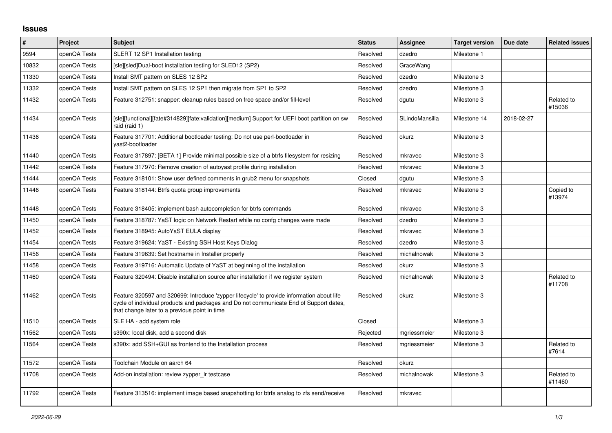## **Issues**

| $\vert$ # | <b>Project</b> | <b>Subject</b>                                                                                                                                                                                                                       | <b>Status</b> | Assignee       | <b>Target version</b> | Due date   | <b>Related issues</b> |
|-----------|----------------|--------------------------------------------------------------------------------------------------------------------------------------------------------------------------------------------------------------------------------------|---------------|----------------|-----------------------|------------|-----------------------|
| 9594      | openQA Tests   | SLERT 12 SP1 Installation testing                                                                                                                                                                                                    | Resolved      | dzedro         | Milestone 1           |            |                       |
| 10832     | openQA Tests   | [sle][sled]Dual-boot installation testing for SLED12 (SP2)                                                                                                                                                                           | Resolved      | GraceWang      |                       |            |                       |
| 11330     | openQA Tests   | Install SMT pattern on SLES 12 SP2                                                                                                                                                                                                   | Resolved      | dzedro         | Milestone 3           |            |                       |
| 11332     | openQA Tests   | Install SMT pattern on SLES 12 SP1 then migrate from SP1 to SP2                                                                                                                                                                      | Resolved      | dzedro         | Milestone 3           |            |                       |
| 11432     | openQA Tests   | Feature 312751: snapper: cleanup rules based on free space and/or fill-level                                                                                                                                                         | Resolved      | dgutu          | Milestone 3           |            | Related to<br>#15036  |
| 11434     | openQA Tests   | [sle][functional][fate#314829][fate:validation][medium] Support for UEFI boot partition on sw<br>raid (raid 1)                                                                                                                       | Resolved      | SLindoMansilla | Milestone 14          | 2018-02-27 |                       |
| 11436     | openQA Tests   | Feature 317701: Additional bootloader testing: Do not use perl-bootloader in<br>vast2-bootloader                                                                                                                                     | Resolved      | okurz          | Milestone 3           |            |                       |
| 11440     | openQA Tests   | Feature 317897: [BETA 1] Provide minimal possible size of a btrfs filesystem for resizing                                                                                                                                            | Resolved      | mkravec        | Milestone 3           |            |                       |
| 11442     | openQA Tests   | Feature 317970: Remove creation of autoyast profile during installation                                                                                                                                                              | Resolved      | mkravec        | Milestone 3           |            |                       |
| 11444     | openQA Tests   | Feature 318101: Show user defined comments in grub2 menu for snapshots                                                                                                                                                               | Closed        | dgutu          | Milestone 3           |            |                       |
| 11446     | openQA Tests   | Feature 318144: Btrfs quota group improvements                                                                                                                                                                                       | Resolved      | mkravec        | Milestone 3           |            | Copied to<br>#13974   |
| 11448     | openQA Tests   | Feature 318405: implement bash autocompletion for btrfs commands                                                                                                                                                                     | Resolved      | mkravec        | Milestone 3           |            |                       |
| 11450     | openQA Tests   | Feature 318787: YaST logic on Network Restart while no confg changes were made                                                                                                                                                       | Resolved      | dzedro         | Milestone 3           |            |                       |
| 11452     | openQA Tests   | Feature 318945: AutoYaST EULA display                                                                                                                                                                                                | Resolved      | mkravec        | Milestone 3           |            |                       |
| 11454     | openQA Tests   | Feature 319624: YaST - Existing SSH Host Keys Dialog                                                                                                                                                                                 | Resolved      | dzedro         | Milestone 3           |            |                       |
| 11456     | openQA Tests   | Feature 319639: Set hostname in Installer properly                                                                                                                                                                                   | Resolved      | michalnowak    | Milestone 3           |            |                       |
| 11458     | openQA Tests   | Feature 319716: Automatic Update of YaST at beginning of the installation                                                                                                                                                            | Resolved      | okurz          | Milestone 3           |            |                       |
| 11460     | openQA Tests   | Feature 320494: Disable installation source after installation if we register system                                                                                                                                                 | Resolved      | michalnowak    | Milestone 3           |            | Related to<br>#11708  |
| 11462     | openQA Tests   | Feature 320597 and 320699: Introduce 'zypper lifecycle' to provide information about life<br>cycle of individual products and packages and Do not communicate End of Support dates,<br>that change later to a previous point in time | Resolved      | okurz          | Milestone 3           |            |                       |
| 11510     | openQA Tests   | SLE HA - add system role                                                                                                                                                                                                             | Closed        |                | Milestone 3           |            |                       |
| 11562     | openQA Tests   | s390x: local disk, add a second disk                                                                                                                                                                                                 | Rejected      | mgriessmeier   | Milestone 3           |            |                       |
| 11564     | openQA Tests   | s390x: add SSH+GUI as frontend to the Installation process                                                                                                                                                                           | Resolved      | mgriessmeier   | Milestone 3           |            | Related to<br>#7614   |
| 11572     | openQA Tests   | Toolchain Module on aarch 64                                                                                                                                                                                                         | Resolved      | okurz          |                       |            |                       |
| 11708     | openQA Tests   | Add-on installation: review zypper_Ir testcase                                                                                                                                                                                       | Resolved      | michalnowak    | Milestone 3           |            | Related to<br>#11460  |
| 11792     | openQA Tests   | Feature 313516: implement image based snapshotting for btrfs analog to zfs send/receive                                                                                                                                              | Resolved      | mkravec        |                       |            |                       |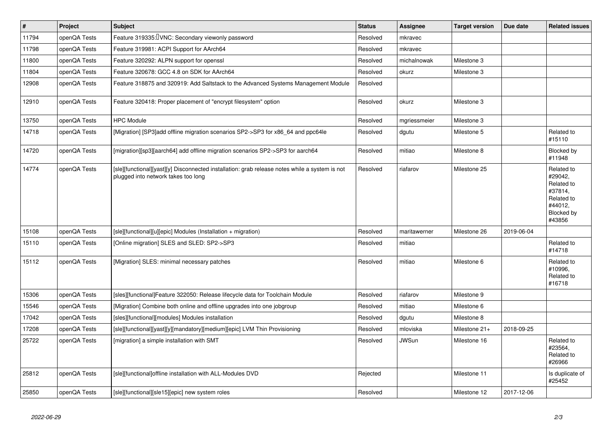| #     | Project      | <b>Subject</b>                                                                                                                        | <b>Status</b> | Assignee     | <b>Target version</b> | Due date   | <b>Related issues</b>                                                                           |
|-------|--------------|---------------------------------------------------------------------------------------------------------------------------------------|---------------|--------------|-----------------------|------------|-------------------------------------------------------------------------------------------------|
| 11794 | openQA Tests | Feature 319335: UNC: Secondary viewonly password                                                                                      | Resolved      | mkravec      |                       |            |                                                                                                 |
| 11798 | openQA Tests | Feature 319981: ACPI Support for AArch64                                                                                              | Resolved      | mkravec      |                       |            |                                                                                                 |
| 11800 | openQA Tests | Feature 320292: ALPN support for openssl                                                                                              | Resolved      | michalnowak  | Milestone 3           |            |                                                                                                 |
| 11804 | openQA Tests | Feature 320678: GCC 4.8 on SDK for AArch64                                                                                            | Resolved      | okurz        | Milestone 3           |            |                                                                                                 |
| 12908 | openQA Tests | Feature 318875 and 320919: Add Saltstack to the Advanced Systems Management Module                                                    | Resolved      |              |                       |            |                                                                                                 |
| 12910 | openQA Tests | Feature 320418: Proper placement of "encrypt filesystem" option                                                                       | Resolved      | okurz        | Milestone 3           |            |                                                                                                 |
| 13750 | openQA Tests | <b>HPC Module</b>                                                                                                                     | Resolved      | mgriessmeier | Milestone 3           |            |                                                                                                 |
| 14718 | openQA Tests | [Migration] [SP3]add offline migration scenarios SP2->SP3 for x86 64 and ppc64le                                                      | Resolved      | dgutu        | Milestone 5           |            | Related to<br>#15110                                                                            |
| 14720 | openQA Tests | [migration][sp3][aarch64] add offline migration scenarios SP2->SP3 for aarch64                                                        | Resolved      | mitiao       | Milestone 8           |            | Blocked by<br>#11948                                                                            |
| 14774 | openQA Tests | [sle][functional][yast][y] Disconnected installation: grab release notes while a system is not<br>plugged into network takes too long | Resolved      | riafarov     | Milestone 25          |            | Related to<br>#29042,<br>Related to<br>#37814,<br>Related to<br>#44012,<br>Blocked by<br>#43856 |
| 15108 | openQA Tests | [sle][functional][u][epic] Modules (Installation + migration)                                                                         | Resolved      | maritawerner | Milestone 26          | 2019-06-04 |                                                                                                 |
| 15110 | openQA Tests | [Online migration] SLES and SLED: SP2->SP3                                                                                            | Resolved      | mitiao       |                       |            | Related to<br>#14718                                                                            |
| 15112 | openQA Tests | [Migration] SLES: minimal necessary patches                                                                                           | Resolved      | mitiao       | Milestone 6           |            | Related to<br>#10996,<br>Related to<br>#16718                                                   |
| 15306 | openQA Tests | [sles][functional]Feature 322050: Release lifecycle data for Toolchain Module                                                         | Resolved      | riafarov     | Milestone 9           |            |                                                                                                 |
| 15546 | openQA Tests | [Migration] Combine both online and offline upgrades into one jobgroup                                                                | Resolved      | mitiao       | Milestone 6           |            |                                                                                                 |
| 17042 | openQA Tests | [sles][functional][modules] Modules installation                                                                                      | Resolved      | dgutu        | Milestone 8           |            |                                                                                                 |
| 17208 | openQA Tests | [sle][functional][yast][y][mandatory][medium][epic] LVM Thin Provisioning                                                             | Resolved      | mloviska     | Milestone 21+         | 2018-09-25 |                                                                                                 |
| 25722 | openQA Tests | [migration] a simple installation with SMT                                                                                            | Resolved      | <b>JWSun</b> | Milestone 16          |            | Related to<br>#23564,<br>Related to<br>#26966                                                   |
| 25812 | openQA Tests | [sle][functional]offline installation with ALL-Modules DVD                                                                            | Rejected      |              | Milestone 11          |            | Is duplicate of<br>#25452                                                                       |
| 25850 | openQA Tests | [sle][functional][sle15][epic] new system roles                                                                                       | Resolved      |              | Milestone 12          | 2017-12-06 |                                                                                                 |